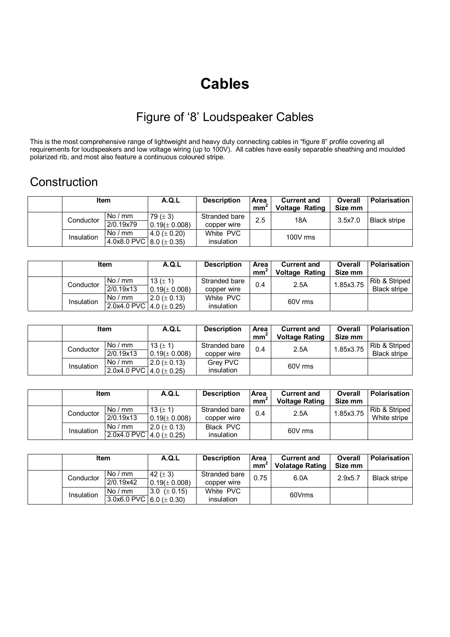## **Cables**

### Figure of '8' Loudspeaker Cables

This is the most comprehensive range of lightweight and heavy duty connecting cables in "figure 8" profile covering all requirements for loudspeakers and low voltage wiring (up to 100V). All cables have easily separable sheathing and moulded polarized rib, and most also feature a continuous coloured stripe.

#### **Construction**

| Item              |                                                        | A.Q.L                              | <b>Description</b>           | Area<br>mm | <b>Current and</b><br><b>Voltage Rating</b> | Overall<br>Size mm | <b>Polarisation</b> |
|-------------------|--------------------------------------------------------|------------------------------------|------------------------------|------------|---------------------------------------------|--------------------|---------------------|
| Conductor         | No / mm<br>2/0.19x79                                   | 79 $(\pm 3)$<br>$0.19 (\pm 0.008)$ | Stranded bare<br>copper wire | 2.5        | 18A                                         | 3.5x7.0            | <b>Black stripe</b> |
| <b>Insulation</b> | No / mm<br>$(4.0x8.0 \text{ PVC} \mid 8.0 (\pm 0.35))$ | 4.0 ( $\pm$ 0.20)                  | White PVC<br>insulation      |            | 100V rms                                    |                    |                     |

|            | Item                                                      | A.Q.L                                | <b>Description</b>           | Area<br>mm | <b>Current and</b><br><b>Voltage Rating</b> | Overall<br>Size mm | <b>Polarisation</b>                  |
|------------|-----------------------------------------------------------|--------------------------------------|------------------------------|------------|---------------------------------------------|--------------------|--------------------------------------|
| Conductor  | No / mm<br>2/0.19x13                                      | 13 ( $\pm$ 1)<br>$0.19 \times 0.008$ | Stranded bare<br>copper wire | 0.4        | 2.5A                                        | 1.85x3.75          | Rib & Striped<br><b>Black stripe</b> |
| Insulation | No / mm<br>$\sqrt{2.0x4.0}$ PVC $\sqrt{4.0 \ (\pm 0.25)}$ | $2.0 (\pm 0.13)$                     | White PVC<br>insulation      |            | 60V rms                                     |                    |                                      |

|            | Item                                      | A.Q.L                                 | <b>Description</b>           | <b>Area</b><br>mm | <b>Current and</b><br><b>Voltage Rating</b> | Overall<br>Size mm | <b>Polarisation</b>                  |
|------------|-------------------------------------------|---------------------------------------|------------------------------|-------------------|---------------------------------------------|--------------------|--------------------------------------|
| Conductor  | No / mm<br>2/0.19x13                      | 13 ( $\pm$ 1)<br>$0.19 (\pm 0.008)$ . | Stranded bare<br>copper wire | 0.4               | 2.5A                                        | 1.85x3.75          | Rib & Striped<br><b>Black stripe</b> |
| Insulation | No / mm<br>$2.0x4.0$ PVC $4.0 (\pm 0.25)$ | $2.0 (\pm 0.13)$                      | Grey PVC<br>insulation       |                   | 60V rms                                     |                    |                                      |

| Item       |                                             | A.Q.L                         | <b>Description</b>           | <b>Area</b><br>mm | <b>Current and</b><br><b>Voltage Rating</b> | <b>Overall</b><br>Size mm | <b>Polarisation</b>           |
|------------|---------------------------------------------|-------------------------------|------------------------------|-------------------|---------------------------------------------|---------------------------|-------------------------------|
| Conductor  | No / mm<br>2/0.19x13                        | 13 ( $\pm$ 1)<br>0.19(±0.008) | Stranded bare<br>copper wire | 0.4               | 2.5A                                        | 1.85x3.75                 | Rib & Striped<br>White stripe |
| Insulation | No / mm<br>$2.0x4.0$ PVC $4.0 \ (\pm 0.25)$ | $2.0 (\pm 0.13)$              | Black PVC<br>insulation      |                   | 60V rms                                     |                           |                               |

| <b>Item</b>       |                                            | A.Q.L                               | <b>Description</b>           | <b>Area</b><br>mm <sup>2</sup> | <b>Current and</b><br><b>Volatage Rating</b> | Overall<br>Size mm | <b>Polarisation</b> |
|-------------------|--------------------------------------------|-------------------------------------|------------------------------|--------------------------------|----------------------------------------------|--------------------|---------------------|
| Conductor         | No $/$ mm<br>2/0.19x42                     | 42 ( $\pm$ 3)<br>$0.19 (\pm 0.008)$ | Stranded bare<br>copper wire | 0.75                           | 6.0A                                         | 2.9x5.7            | Black stripe        |
| <b>Insulation</b> | No / mm<br>$3.0x6.0$ PVC 6.0 ( $\pm$ 0.30) | 3.0 ( $\pm$ 0.15)                   | White PVC<br>insulation      |                                | 60Vrms                                       |                    |                     |